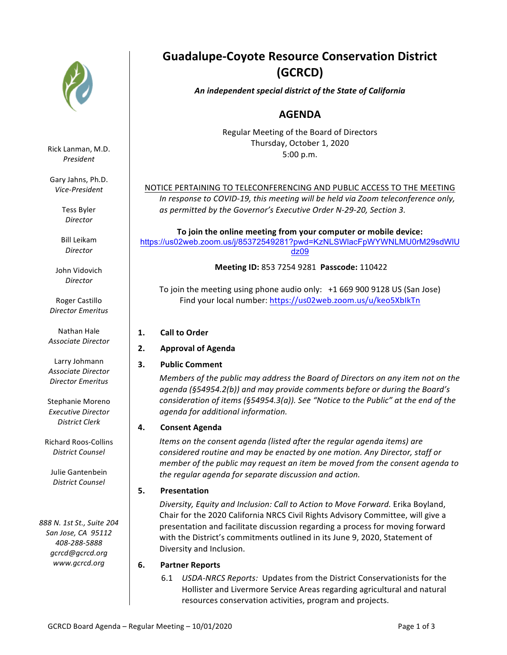

Rick Lanman, M.D. *President*

Gary Jahns, Ph.D. *Vice-President*

> Tess Byler *Director*

Bill Leikam *Director*

John Vidovich *Director*

Roger Castillo *Director Emeritus*

**Nathan Hale** *Associate Director*

Larry Johmann *Associate Director Director Emeritus*

Stephanie Moreno *Executive Director District Clerk*

Richard Roos-Collins *District Counsel*

Julie Gantenbein *District Counsel*

*888 N. 1st St., Suite 204 San Jose, CA 95112 408-288-5888* gcrcd@gcrcd.org *www.gcrcd.org*

# **Guadalupe-Coyote Resource Conservation District (GCRCD)**

*An independent special district of the State of California*

# **AGENDA**

Regular Meeting of the Board of Directors Thursday, October 1, 2020 5:00 p.m.

# NOTICE PERTAINING TO TELECONFERENCING AND PUBLIC ACCESS TO THE MEETING

*In response to COVID-19, this meeting will be held via Zoom teleconference only,* as permitted by the Governor's Executive Order N-29-20, Section 3.

To join the online meeting from your computer or mobile device: https://us02web.zoom.us/j/85372549281?pwd=KzNLSWlacFpWYWNLMU0rM29sdWlU dz09

**Meeting ID:** 853 7254 9281 **Passcode:** 110422

To join the meeting using phone audio only:  $+1$  669 900 9128 US (San Jose) Find your local number: https://us02web.zoom.us/u/keo5XbIkTn

- **1. Call to Order**
- **2. Approval of Agenda**
- **3.** Public Comment

*Members* of the public may address the Board of Directors on any item not on the agenda (§54954.2(b)) and may provide comments before or during the Board's *consideration of items (§54954.3(a)). See "Notice to the Public" at the end of the agenda for additional information.*

# **4. Consent Agenda**

*Items* on the consent agenda (listed after the regular agenda items) are *considered routine and may be enacted by one motion. Any Director, staff or member* of the public may request an item be moved from the consent agenda to the regular agenda for separate discussion and action.

# **5. Presentation**

*Diversity, Equity and Inclusion: Call to Action to Move Forward.* Erika Boyland, Chair for the 2020 California NRCS Civil Rights Advisory Committee, will give a presentation and facilitate discussion regarding a process for moving forward with the District's commitments outlined in its June 9, 2020, Statement of Diversity and Inclusion.

# **6. Partner Reports**

6.1 *USDA-NRCS Reports:* Updates from the District Conservationists for the Hollister and Livermore Service Areas regarding agricultural and natural resources conservation activities, program and projects.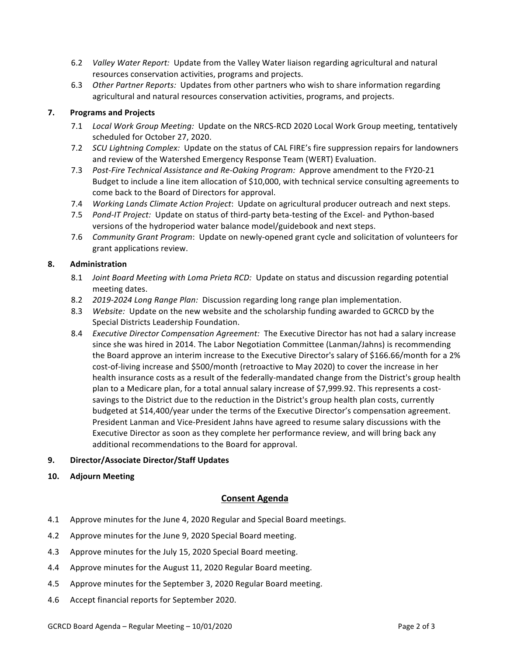- 6.2 *Valley Water Report:* Update from the Valley Water liaison regarding agricultural and natural resources conservation activities, programs and projects.
- 6.3 Other Partner Reports: Updates from other partners who wish to share information regarding agricultural and natural resources conservation activities, programs, and projects.

#### **7. Programs and Projects**

- 7.1 Local Work Group Meeting: Update on the NRCS-RCD 2020 Local Work Group meeting, tentatively scheduled for October 27, 2020.
- 7.2 *SCU Lightning Complex:* Update on the status of CAL FIRE's fire suppression repairs for landowners and review of the Watershed Emergency Response Team (WERT) Evaluation.
- 7.3 Post-Fire Technical Assistance and Re-Oaking Program: Approve amendment to the FY20-21 Budget to include a line item allocation of \$10,000, with technical service consulting agreements to come back to the Board of Directors for approval.
- 7.4 *Working Lands Climate Action Project*: Update on agricultural producer outreach and next steps.
- 7.5 *Pond-IT Project:* Update on status of third-party beta-testing of the Excel- and Python-based versions of the hydroperiod water balance model/guidebook and next steps.
- 7.6 *Community Grant Program*: Update on newly-opened grant cycle and solicitation of volunteers for grant applications review.

#### **8. Administration**

- 8.1 *Joint Board Meeting with Loma Prieta RCD:* Update on status and discussion regarding potential meeting dates.
- 8.2 *2019-2024 Long Range Plan:* Discussion regarding long range plan implementation.
- 8.3 *Website:* Update on the new website and the scholarship funding awarded to GCRCD by the Special Districts Leadership Foundation.
- 8.4 *Executive Director Compensation Agreement:* The Executive Director has not had a salary increase since she was hired in 2014. The Labor Negotiation Committee (Lanman/Jahns) is recommending the Board approve an interim increase to the Executive Director's salary of \$166.66/month for a 2% cost-of-living increase and \$500/month (retroactive to May 2020) to cover the increase in her health insurance costs as a result of the federally-mandated change from the District's group health plan to a Medicare plan, for a total annual salary increase of \$7,999.92. This represents a costsavings to the District due to the reduction in the District's group health plan costs, currently budgeted at \$14,400/year under the terms of the Executive Director's compensation agreement. President Lanman and Vice-President Jahns have agreed to resume salary discussions with the Executive Director as soon as they complete her performance review, and will bring back any additional recommendations to the Board for approval.
- **9. Director/Associate Director/Staff Updates**
- **10. Adjourn Meeting**

#### **Consent Agenda**

- 4.1 Approve minutes for the June 4, 2020 Regular and Special Board meetings.
- 4.2 Approve minutes for the June 9, 2020 Special Board meeting.
- 4.3 Approve minutes for the July 15, 2020 Special Board meeting.
- 4.4 Approve minutes for the August 11, 2020 Regular Board meeting.
- 4.5 Approve minutes for the September 3, 2020 Regular Board meeting.
- 4.6 Accept financial reports for September 2020.